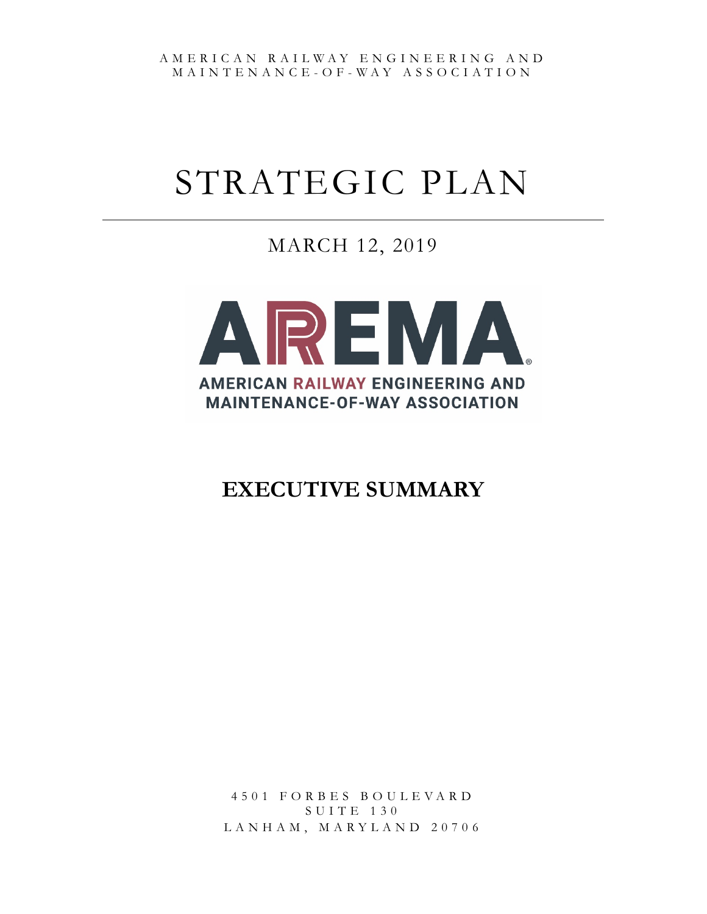AMERICAN RAILWAY ENGINEERING AND MAINTENANCE - O F - WAY ASSOCIATION

# STRATEGIC PLAN

MARCH 12, 2019



## **EXECUTIVE SUMMARY**

4501 FORBES BOULEVARD SUITE 130 LANHAM, MARYLAND 20706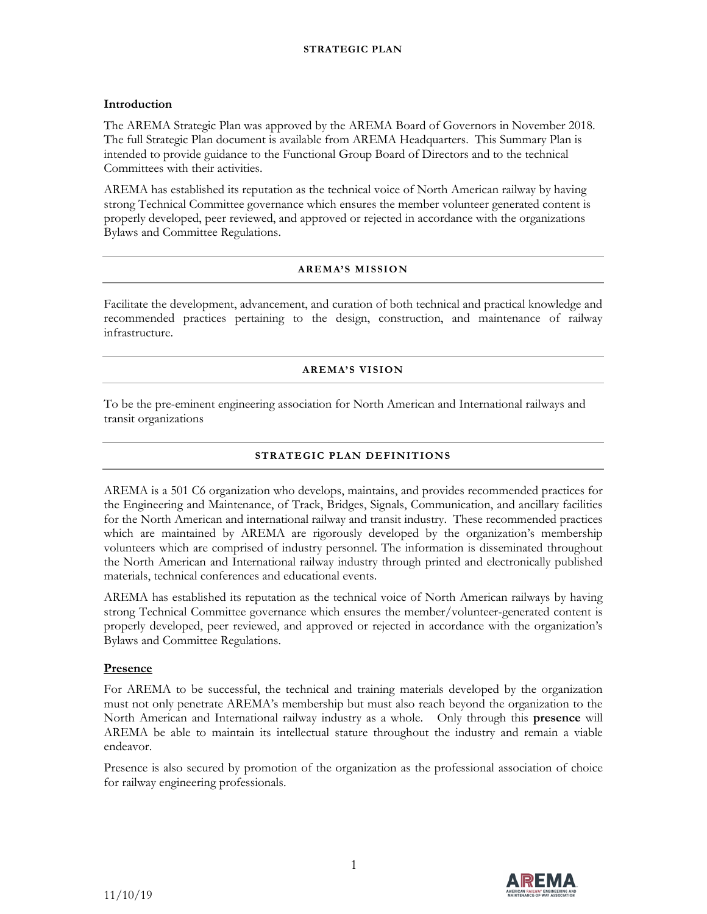#### **STRATEGIC PLAN**

#### **Introduction**

The AREMA Strategic Plan was approved by the AREMA Board of Governors in November 2018. The full Strategic Plan document is available from AREMA Headquarters. This Summary Plan is intended to provide guidance to the Functional Group Board of Directors and to the technical Committees with their activities.

AREMA has established its reputation as the technical voice of North American railway by having strong Technical Committee governance which ensures the member volunteer generated content is properly developed, peer reviewed, and approved or rejected in accordance with the organizations Bylaws and Committee Regulations.

#### **AREMA'S MISSION**

Facilitate the development, advancement, and curation of both technical and practical knowledge and recommended practices pertaining to the design, construction, and maintenance of railway infrastructure.

#### **AREMA'S VISION**

To be the pre-eminent engineering association for North American and International railways and transit organizations

#### **STRATEGIC PLAN DEFINITIONS**

AREMA is a 501 C6 organization who develops, maintains, and provides recommended practices for the Engineering and Maintenance, of Track, Bridges, Signals, Communication, and ancillary facilities for the North American and international railway and transit industry. These recommended practices which are maintained by AREMA are rigorously developed by the organization's membership volunteers which are comprised of industry personnel. The information is disseminated throughout the North American and International railway industry through printed and electronically published materials, technical conferences and educational events.

AREMA has established its reputation as the technical voice of North American railways by having strong Technical Committee governance which ensures the member/volunteer-generated content is properly developed, peer reviewed, and approved or rejected in accordance with the organization's Bylaws and Committee Regulations.

#### **Presence**

For AREMA to be successful, the technical and training materials developed by the organization must not only penetrate AREMA's membership but must also reach beyond the organization to the North American and International railway industry as a whole. Only through this **presence** will AREMA be able to maintain its intellectual stature throughout the industry and remain a viable endeavor.

Presence is also secured by promotion of the organization as the professional association of choice for railway engineering professionals.

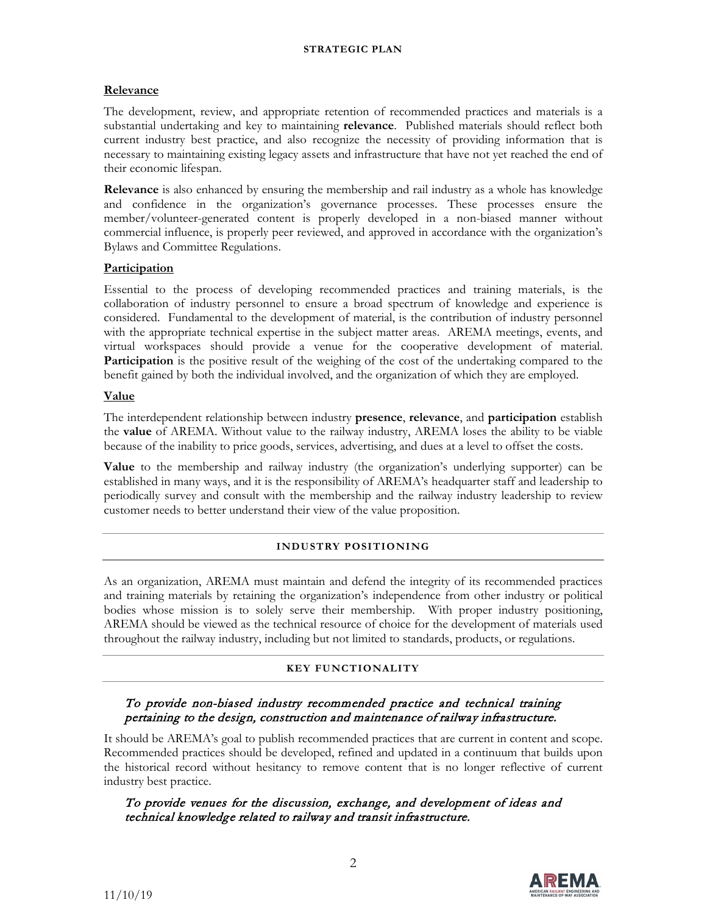#### **Relevance**

The development, review, and appropriate retention of recommended practices and materials is a substantial undertaking and key to maintaining **relevance**. Published materials should reflect both current industry best practice, and also recognize the necessity of providing information that is necessary to maintaining existing legacy assets and infrastructure that have not yet reached the end of their economic lifespan.

**Relevance** is also enhanced by ensuring the membership and rail industry as a whole has knowledge and confidence in the organization's governance processes. These processes ensure the member/volunteer-generated content is properly developed in a non-biased manner without commercial influence, is properly peer reviewed, and approved in accordance with the organization's Bylaws and Committee Regulations.

#### **Participation**

Essential to the process of developing recommended practices and training materials, is the collaboration of industry personnel to ensure a broad spectrum of knowledge and experience is considered. Fundamental to the development of material, is the contribution of industry personnel with the appropriate technical expertise in the subject matter areas. AREMA meetings, events, and virtual workspaces should provide a venue for the cooperative development of material. Participation is the positive result of the weighing of the cost of the undertaking compared to the benefit gained by both the individual involved, and the organization of which they are employed.

#### **Value**

The interdependent relationship between industry **presence**, **relevance**, and **participation** establish the **value** of AREMA. Without value to the railway industry, AREMA loses the ability to be viable because of the inability to price goods, services, advertising, and dues at a level to offset the costs.

**Value** to the membership and railway industry (the organization's underlying supporter) can be established in many ways, and it is the responsibility of AREMA's headquarter staff and leadership to periodically survey and consult with the membership and the railway industry leadership to review customer needs to better understand their view of the value proposition.

#### **INDUSTRY POSITIONING**

As an organization, AREMA must maintain and defend the integrity of its recommended practices and training materials by retaining the organization's independence from other industry or political bodies whose mission is to solely serve their membership. With proper industry positioning, AREMA should be viewed as the technical resource of choice for the development of materials used throughout the railway industry, including but not limited to standards, products, or regulations.

#### **KEY FUNCTIONALITY**

#### To provide non-biased industry recommended practice and technical training pertaining to the design, construction and maintenance of railway infrastructure.

It should be AREMA's goal to publish recommended practices that are current in content and scope. Recommended practices should be developed, refined and updated in a continuum that builds upon the historical record without hesitancy to remove content that is no longer reflective of current industry best practice.

#### To provide venues for the discussion, exchange, and development of ideas and technical knowledge related to railway and transit infrastructure.

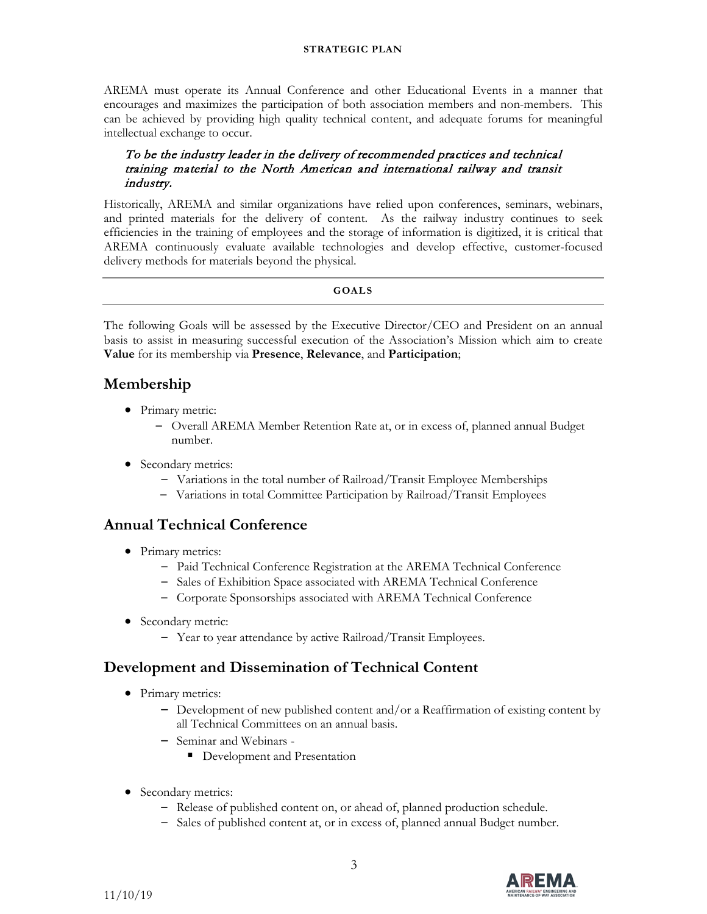#### **STRATEGIC PLAN**

AREMA must operate its Annual Conference and other Educational Events in a manner that encourages and maximizes the participation of both association members and non-members. This can be achieved by providing high quality technical content, and adequate forums for meaningful intellectual exchange to occur.

#### To be the industry leader in the delivery of recommended practices and technical training material to the North American and international railway and transit industry.

Historically, AREMA and similar organizations have relied upon conferences, seminars, webinars, and printed materials for the delivery of content. As the railway industry continues to seek efficiencies in the training of employees and the storage of information is digitized, it is critical that AREMA continuously evaluate available technologies and develop effective, customer-focused delivery methods for materials beyond the physical.

#### **GOALS**

The following Goals will be assessed by the Executive Director/CEO and President on an annual basis to assist in measuring successful execution of the Association's Mission which aim to create **Value** for its membership via **Presence**, **Relevance**, and **Participation**;

## **Membership**

- Primary metric:
	- Overall AREMA Member Retention Rate at, or in excess of, planned annual Budget number.
- Secondary metrics:
	- Variations in the total number of Railroad/Transit Employee Memberships
	- Variations in total Committee Participation by Railroad/Transit Employees

## **Annual Technical Conference**

- Primary metrics:
	- Paid Technical Conference Registration at the AREMA Technical Conference
	- Sales of Exhibition Space associated with AREMA Technical Conference
	- Corporate Sponsorships associated with AREMA Technical Conference
- Secondary metric:
	- Year to year attendance by active Railroad/Transit Employees.

### **Development and Dissemination of Technical Content**

- Primary metrics:
	- Development of new published content and/or a Reaffirmation of existing content by all Technical Committees on an annual basis.
	- Seminar and Webinars
		- **Development and Presentation**
- Secondary metrics:
	- Release of published content on, or ahead of, planned production schedule.
	- Sales of published content at, or in excess of, planned annual Budget number.